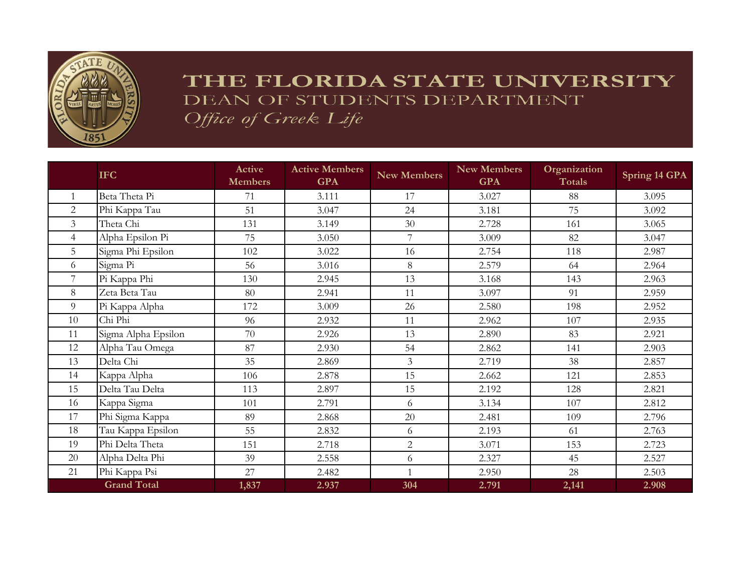

## THE FLORIDA STATE UNIVERSITY DEAN OF STUDENTS DEPARTMENT Office of Greek Life

|                | <b>IFC</b>          | <b>Active</b><br><b>Members</b> | <b>Active Members</b><br><b>GPA</b> | <b>New Members</b> | <b>New Members</b><br><b>GPA</b> | Organization<br><b>Totals</b> | Spring 14 GPA |
|----------------|---------------------|---------------------------------|-------------------------------------|--------------------|----------------------------------|-------------------------------|---------------|
| $\mathbf{1}$   | Beta Theta Pi       | 71                              | 3.111                               | 17                 | 3.027                            | 88                            | 3.095         |
| 2              | Phi Kappa Tau       | 51                              | 3.047                               | 24                 | 3.181                            | 75                            | 3.092         |
| $\mathfrak{Z}$ | Theta Chi           | 131                             | 3.149                               | 30                 | 2.728                            | 161                           | 3.065         |
| $\overline{4}$ | Alpha Epsilon Pi    | 75                              | 3.050                               | 7                  | 3.009                            | 82                            | 3.047         |
| 5              | Sigma Phi Epsilon   | 102                             | 3.022                               | 16                 | 2.754                            | 118                           | 2.987         |
| 6              | Sigma Pi            | 56                              | 3.016                               | 8                  | 2.579                            | 64                            | 2.964         |
| 7              | Pi Kappa Phi        | 130                             | 2.945                               | 13                 | 3.168                            | 143                           | 2.963         |
| 8              | Zeta Beta Tau       | 80                              | 2.941                               | 11                 | 3.097                            | 91                            | 2.959         |
| 9              | Pi Kappa Alpha      | 172                             | 3.009                               | 26                 | 2.580                            | 198                           | 2.952         |
| 10             | Chi Phi             | 96                              | 2.932                               | 11                 | 2.962                            | 107                           | 2.935         |
| 11             | Sigma Alpha Epsilon | 70                              | 2.926                               | 13                 | 2.890                            | 83                            | 2.921         |
| 12             | Alpha Tau Omega     | 87                              | 2.930                               | 54                 | 2.862                            | 141                           | 2.903         |
| 13             | Delta Chi           | 35                              | 2.869                               | $\overline{3}$     | 2.719                            | 38                            | 2.857         |
| 14             | Kappa Alpha         | 106                             | 2.878                               | 15                 | 2.662                            | 121                           | 2.853         |
| 15             | Delta Tau Delta     | 113                             | 2.897                               | 15                 | 2.192                            | 128                           | 2.821         |
| 16             | Kappa Sigma         | 101                             | 2.791                               | 6                  | 3.134                            | 107                           | 2.812         |
| 17             | Phi Sigma Kappa     | 89                              | 2.868                               | 20                 | 2.481                            | 109                           | 2.796         |
| 18             | Tau Kappa Epsilon   | 55                              | 2.832                               | 6                  | 2.193                            | 61                            | 2.763         |
| 19             | Phi Delta Theta     | 151                             | 2.718                               | $\overline{2}$     | 3.071                            | 153                           | 2.723         |
| 20             | Alpha Delta Phi     | 39                              | 2.558                               | 6                  | 2.327                            | 45                            | 2.527         |
| 21             | Phi Kappa Psi       | 27                              | 2.482                               | $\mathbf{1}$       | 2.950                            | 28                            | 2.503         |
|                | <b>Grand Total</b>  | 1,837                           | 2.937                               | 304                | 2.791                            | 2,141                         | 2.908         |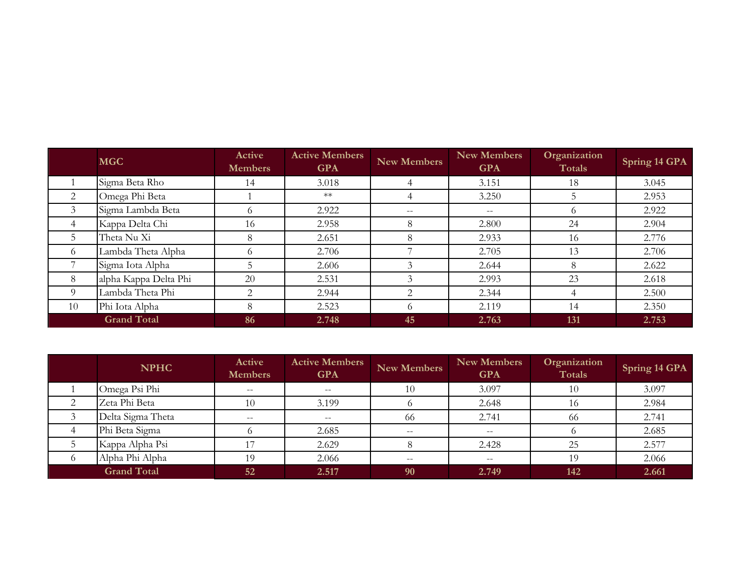|                | <b>MGC</b>            | Active<br><b>Members</b> | <b>Active Members</b><br><b>GPA</b> | <b>New Members</b> | New Members<br><b>GPA</b> | Organization<br>Totals | Spring 14 GPA |
|----------------|-----------------------|--------------------------|-------------------------------------|--------------------|---------------------------|------------------------|---------------|
|                | Sigma Beta Rho        | 14                       | 3.018                               |                    | 3.151                     | 18                     | 3.045         |
| 2              | Omega Phi Beta        |                          | $**$                                | 4                  | 3.250                     |                        | 2.953         |
| 3              | Sigma Lambda Beta     | $^{\circ}$               | 2.922                               | $- -$              | $\qquad \qquad -$         |                        | 2.922         |
| $\overline{4}$ | Kappa Delta Chi       | 16                       | 2.958                               | 8                  | 2.800                     | 24                     | 2.904         |
| 5              | Theta Nu Xi           | 8                        | 2.651                               | 8                  | 2.933                     | 16                     | 2.776         |
| -6             | Lambda Theta Alpha    | $^{\circ}$               | 2.706                               |                    | 2.705                     | 13                     | 2.706         |
|                | Sigma Iota Alpha      |                          | 2.606                               | 3                  | 2.644                     | 8                      | 2.622         |
| 8              | alpha Kappa Delta Phi | 20                       | 2.531                               | 3                  | 2.993                     | 23                     | 2.618         |
| 9              | Lambda Theta Phi      | $\mathfrak{D}$           | 2.944                               | $\mathcal{L}$      | 2.344                     |                        | 2.500         |
| 10             | Phi Iota Alpha        | 8                        | 2.523                               | 6                  | 2.119                     | 14                     | 2.350         |
|                | <b>Grand Total</b>    | 86                       | 2.748                               | 45                 | 2.763                     | 131                    | 2.753         |

|   | <b>NPHC</b>        | <b>Active</b><br><b>Members</b> | <b>Active Members</b><br><b>GPA</b> | <b>New Members</b> | <b>New Members</b><br><b>GPA</b> | Organization<br>Totals | Spring 14 GPA |
|---|--------------------|---------------------------------|-------------------------------------|--------------------|----------------------------------|------------------------|---------------|
|   | Omega Psi Phi      | $- -$                           | $- -$                               | 10                 | 3.097                            | 10                     | 3.097         |
| ⌒ | Zeta Phi Beta      | 10                              | 3.199                               |                    | 2.648                            | 16                     | 2.984         |
|   | Delta Sigma Theta  | $- -$                           | $- -$                               | 66                 | 2.741                            | -66                    | 2.741         |
|   | Phi Beta Sigma     |                                 | 2.685                               | $- -$              | $- -$                            |                        | 2.685         |
|   | Kappa Alpha Psi    |                                 | 2.629                               |                    | 2.428                            | 25                     | 2.577         |
|   | Alpha Phi Alpha    | 19                              | 2.066                               | $- -$              | $- -$                            | 19                     | 2.066         |
|   | <b>Grand Total</b> | 52                              | 2.517                               | 90                 | 2.749                            | 142                    | 2.661         |